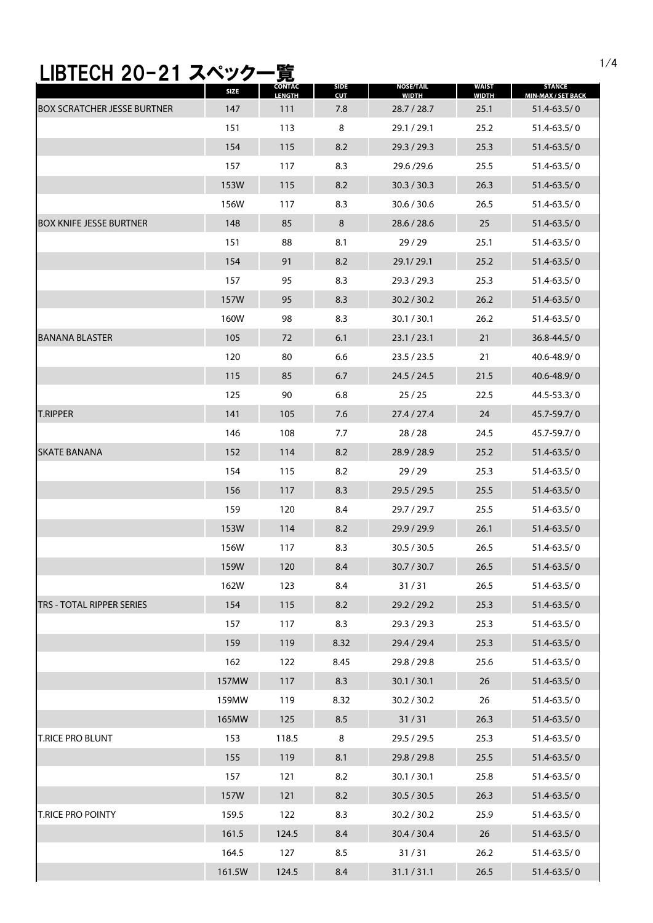## 1/4 LIBTECH 20-21 スペック一覧

|                                    | SIZE   | <b>CONTAC</b><br>LENGTH | SIDE<br><b>CUT</b> | <b>NOSE/TAIL</b><br><b>WIDTH</b> | <b>WAIST</b><br><b>WIDTH</b> | <b>STANCE</b><br>MIN-MAX / SET BACK |
|------------------------------------|--------|-------------------------|--------------------|----------------------------------|------------------------------|-------------------------------------|
| <b>BOX SCRATCHER JESSE BURTNER</b> | 147    | 111                     | 7.8                | 28.7 / 28.7                      | 25.1                         | $51.4 - 63.5 / 0$                   |
|                                    | 151    | 113                     | 8                  | 29.1 / 29.1                      | 25.2                         | $51.4 - 63.5 / 0$                   |
|                                    | 154    | 115                     | 8.2                | 29.3 / 29.3                      | 25.3                         | $51.4 - 63.5 / 0$                   |
|                                    | 157    | 117                     | 8.3                | 29.6/29.6                        | 25.5                         | $51.4 - 63.5 / 0$                   |
|                                    | 153W   | 115                     | 8.2                | 30.3 / 30.3                      | 26.3                         | $51.4 - 63.5 / 0$                   |
|                                    | 156W   | 117                     | 8.3                | 30.6 / 30.6                      | 26.5                         | $51.4 - 63.5 / 0$                   |
| <b>BOX KNIFE JESSE BURTNER</b>     | 148    | 85                      | 8                  | 28.6 / 28.6                      | 25                           | 51.4-63.5/0                         |
|                                    | 151    | 88                      | 8.1                | 29/29                            | 25.1                         | $51.4 - 63.5 / 0$                   |
|                                    | 154    | 91                      | 8.2                | 29.1/29.1                        | 25.2                         | $51.4 - 63.5 / 0$                   |
|                                    | 157    | 95                      | 8.3                | 29.3 / 29.3                      | 25.3                         | $51.4 - 63.5 / 0$                   |
|                                    | 157W   | 95                      | 8.3                | 30.2 / 30.2                      | 26.2                         | $51.4 - 63.5 / 0$                   |
|                                    | 160W   | 98                      | 8.3                | 30.1 / 30.1                      | 26.2                         | $51.4 - 63.5 / 0$                   |
| <b>BANANA BLASTER</b>              | 105    | 72                      | 6.1                | 23.1 / 23.1                      | 21                           | $36.8 - 44.5 / 0$                   |
|                                    | 120    | 80                      | 6.6                | 23.5 / 23.5                      | 21                           | 40.6-48.9/0                         |
|                                    | 115    | 85                      | 6.7                | 24.5 / 24.5                      | 21.5                         | $40.6 - 48.9 / 0$                   |
|                                    | 125    | 90                      | 6.8                | 25/25                            | 22.5                         | 44.5-53.3/0                         |
| <b>T.RIPPER</b>                    | 141    | 105                     | 7.6                | 27.4 / 27.4                      | 24                           | 45.7-59.7/0                         |
|                                    | 146    | 108                     | 7.7                | 28/28                            | 24.5                         | 45.7-59.7/0                         |
| <b>SKATE BANANA</b>                | 152    | 114                     | 8.2                | 28.9 / 28.9                      | 25.2                         | $51.4 - 63.5 / 0$                   |
|                                    | 154    | 115                     | 8.2                | 29/29                            | 25.3                         | $51.4 - 63.5 / 0$                   |
|                                    | 156    | 117                     | 8.3                | 29.5 / 29.5                      | 25.5                         | $51.4 - 63.5 / 0$                   |
|                                    | 159    | 120                     | 8.4                | 29.7 / 29.7                      | 25.5                         | $51.4 - 63.5 / 0$                   |
|                                    | 153W   | 114                     | 8.2                | 29.9 / 29.9                      | 26.1                         | $51.4 - 63.5 / 0$                   |
|                                    | 156W   | 117                     | 8.3                | 30.5 / 30.5                      | 26.5                         | $51.4 - 63.5 / 0$                   |
|                                    | 159W   | 120                     | 8.4                | 30.7 / 30.7                      | 26.5                         | $51.4 - 63.5 / 0$                   |
|                                    | 162W   | 123                     | 8.4                | 31/31                            | 26.5                         | 51.4-63.5/0                         |
| TRS - TOTAL RIPPER SERIES          | 154    | 115                     | $8.2\,$            | 29.2 / 29.2                      | 25.3                         | $51.4 - 63.5 / 0$                   |
|                                    | 157    | 117                     | 8.3                | 29.3 / 29.3                      | 25.3                         | 51.4-63.5/0                         |
|                                    | 159    | 119                     | 8.32               | 29.4 / 29.4                      | 25.3                         | 51.4-63.5/0                         |
|                                    | 162    | 122                     | 8.45               | 29.8 / 29.8                      | 25.6                         | $51.4 - 63.5 / 0$                   |
|                                    | 157MW  | 117                     | 8.3                | 30.1 / 30.1                      | 26                           | 51.4-63.5/0                         |
|                                    | 159MW  | 119                     | 8.32               | 30.2 / 30.2                      | 26                           | 51.4-63.5/0                         |
|                                    | 165MW  | 125                     | 8.5                | 31/31                            | 26.3                         | 51.4-63.5/0                         |
| <b>T.RICE PRO BLUNT</b>            | 153    | 118.5                   | 8                  | 29.5 / 29.5                      | 25.3                         | 51.4-63.5/0                         |
|                                    | 155    | 119                     | 8.1                | 29.8 / 29.8                      | 25.5                         | 51.4-63.5/0                         |
|                                    | 157    | 121                     | 8.2                | 30.1 / 30.1                      | 25.8                         | 51.4-63.5/0                         |
|                                    | 157W   | 121                     | 8.2                | 30.5 / 30.5                      | 26.3                         | 51.4-63.5/0                         |
| T.RICE PRO POINTY                  | 159.5  | 122                     | 8.3                | 30.2 / 30.2                      | 25.9                         | 51.4-63.5/0                         |
|                                    | 161.5  | 124.5                   | 8.4                | 30.4 / 30.4                      | 26                           | 51.4-63.5/0                         |
|                                    | 164.5  | 127                     | 8.5                | 31/31                            | 26.2                         | 51.4-63.5/0                         |
|                                    | 161.5W | 124.5                   | 8.4                | 31.1 / 31.1                      | 26.5                         | 51.4-63.5/0                         |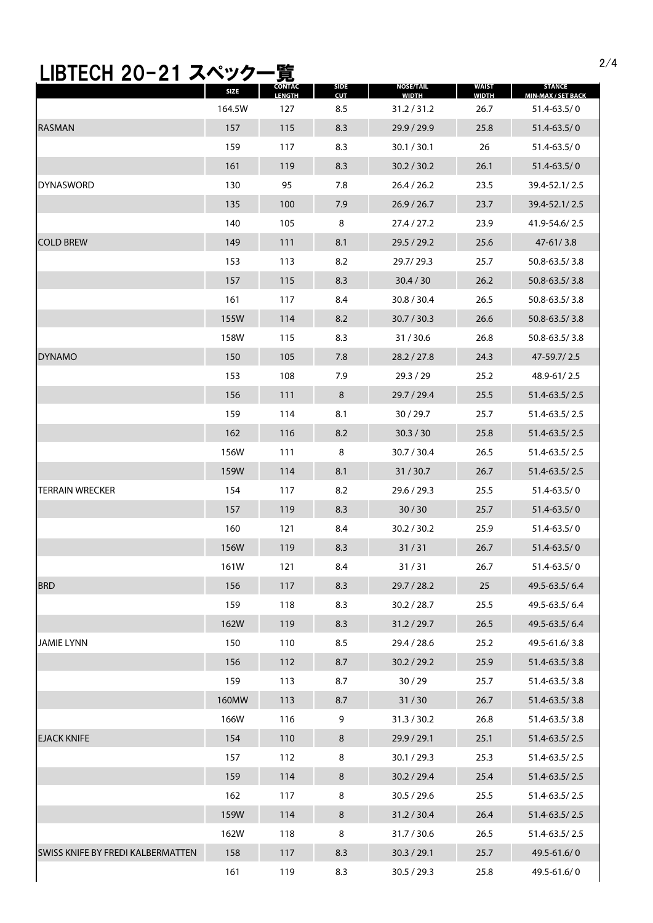## 2/4 LIBTECH 20-21 スペック一覧

|                                   | <b>SIZE</b> | CONTAC<br><b>LENGTH</b> | <b>SIDE</b><br><b>CUT</b> | <b>NOSE/TAIL</b><br><b>WIDTH</b> | <b>WAIST</b><br><b>WIDTH</b> | STANCE<br><b>MIN-MAX / SET BACK</b> |
|-----------------------------------|-------------|-------------------------|---------------------------|----------------------------------|------------------------------|-------------------------------------|
|                                   | 164.5W      | 127                     | 8.5                       | 31.2 / 31.2                      | 26.7                         | $51.4 - 63.5 / 0$                   |
| <b>RASMAN</b>                     | 157         | 115                     | 8.3                       | 29.9 / 29.9                      | 25.8                         | 51.4-63.5/0                         |
|                                   | 159         | 117                     | 8.3                       | 30.1 / 30.1                      | 26                           | 51.4-63.5/0                         |
|                                   | 161         | 119                     | 8.3                       | 30.2 / 30.2                      | 26.1                         | $51.4 - 63.5 / 0$                   |
| <b>DYNASWORD</b>                  | 130         | 95                      | 7.8                       | 26.4 / 26.2                      | 23.5                         | 39.4-52.1/2.5                       |
|                                   | 135         | 100                     | 7.9                       | 26.9 / 26.7                      | 23.7                         | 39.4-52.1/2.5                       |
|                                   | 140         | 105                     | 8                         | 27.4/27.2                        | 23.9                         | 41.9-54.6/2.5                       |
| <b>COLD BREW</b>                  | 149         | 111                     | 8.1                       | 29.5 / 29.2                      | 25.6                         | $47 - 61/3.8$                       |
|                                   | 153         | 113                     | 8.2                       | 29.7/29.3                        | 25.7                         | 50.8-63.5/3.8                       |
|                                   | 157         | 115                     | 8.3                       | 30.4 / 30                        | 26.2                         | $50.8 - 63.5 / 3.8$                 |
|                                   | 161         | 117                     | 8.4                       | 30.8 / 30.4                      | 26.5                         | 50.8-63.5/3.8                       |
|                                   | 155W        | 114                     | 8.2                       | 30.7 / 30.3                      | 26.6                         | $50.8 - 63.5 / 3.8$                 |
|                                   | 158W        | 115                     | 8.3                       | 31/30.6                          | 26.8                         | 50.8-63.5/3.8                       |
| <b>DYNAMO</b>                     | 150         | 105                     | 7.8                       | 28.2 / 27.8                      | 24.3                         | 47-59.7/2.5                         |
|                                   | 153         | 108                     | 7.9                       | 29.3 / 29                        | 25.2                         | 48.9-61/2.5                         |
|                                   | 156         | 111                     | 8                         | 29.7 / 29.4                      | 25.5                         | 51.4-63.5/2.5                       |
|                                   | 159         | 114                     | 8.1                       | 30/29.7                          | 25.7                         | 51.4-63.5/2.5                       |
|                                   | 162         | 116                     | 8.2                       | 30.3 / 30                        | 25.8                         | 51.4-63.5/2.5                       |
|                                   | 156W        | 111                     | 8                         | 30.7 / 30.4                      | 26.5                         | 51.4-63.5/2.5                       |
|                                   | 159W        | 114                     | 8.1                       | 31/30.7                          | 26.7                         | 51.4-63.5/2.5                       |
| <b>TERRAIN WRECKER</b>            | 154         | 117                     | 8.2                       | 29.6 / 29.3                      | 25.5                         | $51.4 - 63.5 / 0$                   |
|                                   | 157         | 119                     | 8.3                       | 30/30                            | 25.7                         | $51.4 - 63.5 / 0$                   |
|                                   | 160         | 121                     | 8.4                       | 30.2 / 30.2                      | 25.9                         | 51.4-63.5/0                         |
|                                   | 156W        | 119                     | 8.3                       | 31/31                            | 26.7                         | $51.4 - 63.5 / 0$                   |
|                                   | 161W        | 121                     | 8.4                       | 31/31                            | 26.7                         | 51.4-63.5/0                         |
| <b>BRD</b>                        | 156         | 117                     | 8.3                       | 29.7 / 28.2                      | 25                           | 49.5-63.5/6.4                       |
|                                   | 159         | 118                     | 8.3                       | 30.2 / 28.7                      | 25.5                         | 49.5-63.5/6.4                       |
|                                   | 162W        | 119                     | 8.3                       | 31.2 / 29.7                      | 26.5                         | 49.5-63.5/6.4                       |
| <b>JAMIE LYNN</b>                 | 150         | 110                     | 8.5                       | 29.4 / 28.6                      | 25.2                         | 49.5-61.6/3.8                       |
|                                   | 156         | 112                     | 8.7                       | 30.2 / 29.2                      | 25.9                         | 51.4-63.5/3.8                       |
|                                   | 159         | 113                     | 8.7                       | 30/29                            | 25.7                         | 51.4-63.5/3.8                       |
|                                   | 160MW       | 113                     | 8.7                       | 31/30                            | 26.7                         | 51.4-63.5/3.8                       |
|                                   | 166W        | 116                     | 9                         | 31.3 / 30.2                      | 26.8                         | 51.4-63.5/3.8                       |
| <b>EJACK KNIFE</b>                | 154         | 110                     | 8                         | 29.9 / 29.1                      | 25.1                         | 51.4-63.5/2.5                       |
|                                   | 157         | 112                     | 8                         | 30.1 / 29.3                      | 25.3                         | 51.4-63.5/2.5                       |
|                                   | 159         | 114                     | 8                         | 30.2 / 29.4                      | 25.4                         | 51.4-63.5/2.5                       |
|                                   | 162         | 117                     | 8                         | 30.5 / 29.6                      | 25.5                         | 51.4-63.5/2.5                       |
|                                   | 159W        | 114                     | 8                         | 31.2 / 30.4                      | 26.4                         | 51.4-63.5/2.5                       |
|                                   | 162W        | 118                     | 8                         | 31.7 / 30.6                      | 26.5                         | 51.4-63.5/2.5                       |
| SWISS KNIFE BY FREDI KALBERMATTEN | 158         | 117                     | 8.3                       | 30.3 / 29.1                      | 25.7                         | 49.5-61.6/0                         |
|                                   | 161         | 119                     | 8.3                       | 30.5 / 29.3                      | 25.8                         | 49.5-61.6/0                         |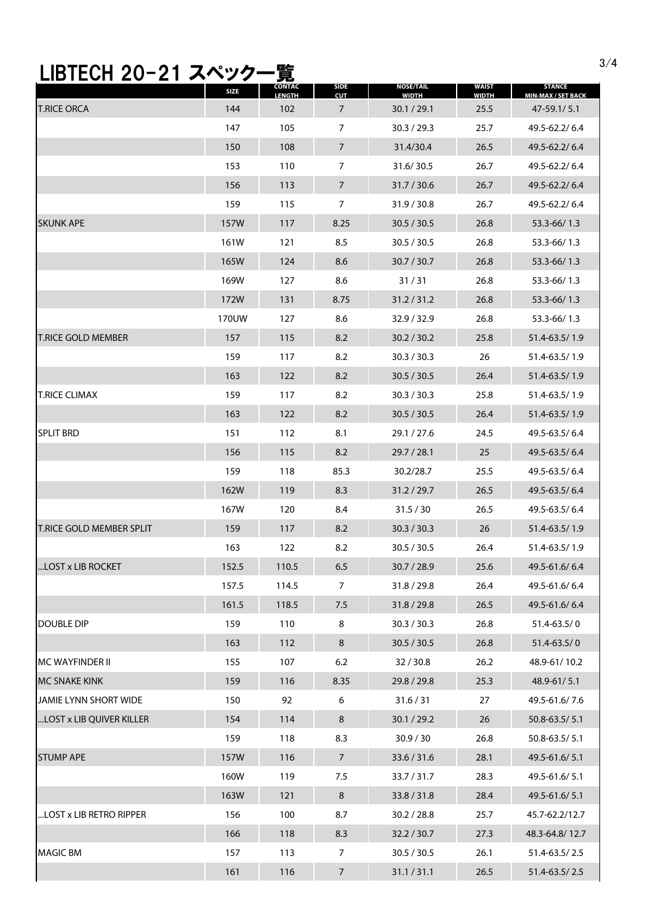## 3/4 LIBTECH 20-21 スペック一覧

|                                 | SIZE  | <b>CONTAC</b><br><b>LENGTH</b> | <b>SIDE</b><br><b>CUT</b> | <b>NOSE/TAIL</b><br><b>WIDTH</b> | <b>WAIST</b><br><b>WIDTH</b> | <b>STANCE</b><br><b>MIN-MAX / SET BACK</b> |
|---------------------------------|-------|--------------------------------|---------------------------|----------------------------------|------------------------------|--------------------------------------------|
| <b>T.RICE ORCA</b>              | 144   | 102                            | 7                         | 30.1 / 29.1                      | 25.5                         | 47-59.1/5.1                                |
|                                 | 147   | 105                            | $\overline{7}$            | 30.3 / 29.3                      | 25.7                         | 49.5-62.2/6.4                              |
|                                 | 150   | 108                            | $\overline{7}$            | 31.4/30.4                        | 26.5                         | 49.5-62.2/6.4                              |
|                                 | 153   | 110                            | $\overline{7}$            | 31.6/30.5                        | 26.7                         | 49.5-62.2/6.4                              |
|                                 | 156   | 113                            | 7                         | 31.7 / 30.6                      | 26.7                         | 49.5-62.2/6.4                              |
|                                 | 159   | 115                            | 7                         | 31.9 / 30.8                      | 26.7                         | 49.5-62.2/6.4                              |
| <b>SKUNK APE</b>                | 157W  | 117                            | 8.25                      | 30.5 / 30.5                      | 26.8                         | $53.3 - 66/1.3$                            |
|                                 | 161W  | 121                            | 8.5                       | 30.5 / 30.5                      | 26.8                         | 53.3-66/1.3                                |
|                                 | 165W  | 124                            | 8.6                       | 30.7 / 30.7                      | 26.8                         | $53.3 - 66/1.3$                            |
|                                 | 169W  | 127                            | 8.6                       | 31/31                            | 26.8                         | 53.3-66/1.3                                |
|                                 | 172W  | 131                            | 8.75                      | 31.2 / 31.2                      | 26.8                         | 53.3-66/1.3                                |
|                                 | 170UW | 127                            | 8.6                       | 32.9 / 32.9                      | 26.8                         | 53.3-66/1.3                                |
| <b>T.RICE GOLD MEMBER</b>       | 157   | 115                            | 8.2                       | 30.2 / 30.2                      | 25.8                         | 51.4-63.5/1.9                              |
|                                 | 159   | 117                            | 8.2                       | 30.3 / 30.3                      | 26                           | 51.4-63.5/1.9                              |
|                                 | 163   | 122                            | 8.2                       | 30.5 / 30.5                      | 26.4                         | 51.4-63.5/1.9                              |
| <b>T.RICE CLIMAX</b>            | 159   | 117                            | 8.2                       | 30.3 / 30.3                      | 25.8                         | 51.4-63.5/1.9                              |
|                                 | 163   | 122                            | 8.2                       | 30.5 / 30.5                      | 26.4                         | 51.4-63.5/1.9                              |
| <b>SPLIT BRD</b>                | 151   | 112                            | 8.1                       | 29.1 / 27.6                      | 24.5                         | 49.5-63.5/6.4                              |
|                                 | 156   | 115                            | 8.2                       | 29.7 / 28.1                      | 25                           | 49.5-63.5/6.4                              |
|                                 | 159   | 118                            | 85.3                      | 30.2/28.7                        | 25.5                         | 49.5-63.5/6.4                              |
|                                 | 162W  | 119                            | 8.3                       | 31.2 / 29.7                      | 26.5                         | 49.5-63.5/6.4                              |
|                                 | 167W  | 120                            | 8.4                       | 31.5 / 30                        | 26.5                         | 49.5-63.5/6.4                              |
| <b>T.RICE GOLD MEMBER SPLIT</b> | 159   | 117                            | 8.2                       | 30.3 / 30.3                      | 26                           | 51.4-63.5/1.9                              |
|                                 | 163   | 122                            | 8.2                       | 30.5 / 30.5                      | 26.4                         | 51.4-63.5/1.9                              |
| LOST x LIB ROCKET               | 152.5 | 110.5                          | 6.5                       | 30.7 / 28.9                      | 25.6                         | 49.5-61.6/6.4                              |
|                                 | 157.5 | 114.5                          | 7                         | 31.8 / 29.8                      | 26.4                         | 49.5-61.6/6.4                              |
|                                 | 161.5 | 118.5                          | 7.5                       | 31.8 / 29.8                      | 26.5                         | 49.5-61.6/6.4                              |
| <b>DOUBLE DIP</b>               | 159   | 110                            | 8                         | 30.3 / 30.3                      | 26.8                         | 51.4-63.5/0                                |
|                                 | 163   | 112                            | 8                         | 30.5 / 30.5                      | 26.8                         | 51.4-63.5/0                                |
| <b>MC WAYFINDER II</b>          | 155   | 107                            | 6.2                       | 32/30.8                          | 26.2                         | 48.9-61/10.2                               |
| MC SNAKE KINK                   | 159   | 116                            | 8.35                      | 29.8 / 29.8                      | 25.3                         | 48.9-61/5.1                                |
| JAMIE LYNN SHORT WIDE           | 150   | 92                             | 6                         | 31.6 / 31                        | 27                           | 49.5-61.6/7.6                              |
| LOST x LIB QUIVER KILLER        | 154   | 114                            | 8                         | 30.1 / 29.2                      | 26                           | 50.8-63.5/5.1                              |
|                                 | 159   | 118                            | 8.3                       | 30.9 / 30                        | 26.8                         | 50.8-63.5/5.1                              |
| <b>STUMP APE</b>                | 157W  | 116                            | $\overline{7}$            | 33.6 / 31.6                      | 28.1                         | 49.5-61.6/5.1                              |
|                                 | 160W  | 119                            | 7.5                       | 33.7/31.7                        | 28.3                         | 49.5-61.6/5.1                              |
|                                 | 163W  | 121                            | 8                         | 33.8 / 31.8                      | 28.4                         | 49.5-61.6/5.1                              |
| "LOST x LIB RETRO RIPPER        | 156   | 100                            | 8.7                       | 30.2 / 28.8                      | 25.7                         | 45.7-62.2/12.7                             |
|                                 | 166   | 118                            | 8.3                       | 32.2 / 30.7                      | 27.3                         | 48.3-64.8/12.7                             |
| <b>MAGIC BM</b>                 | 157   | 113                            | 7                         | 30.5 / 30.5                      | 26.1                         | 51.4-63.5/2.5                              |
|                                 | 161   | 116                            | $\overline{7}$            | 31.1 / 31.1                      | 26.5                         | 51.4-63.5/2.5                              |